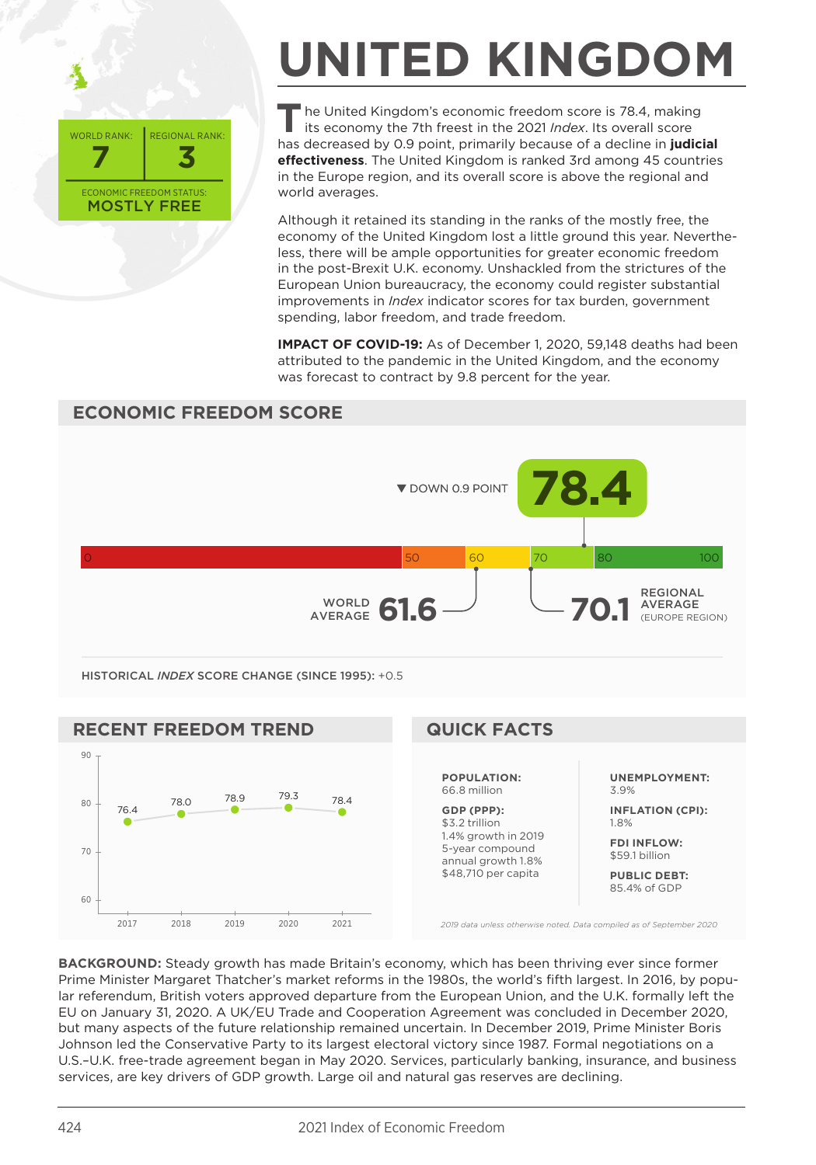

## **UNITED KINGDOM**

The United Kingdom's economic freedom score is 78.4, making its economy the 7th freest in the 2021 *Index*. Its overall score has decreased by 0.9 point, primarily because of a decline in **judicial effectiveness**. The United Kingdom is ranked 3rd among 45 countries in the Europe region, and its overall score is above the regional and world averages.

Although it retained its standing in the ranks of the mostly free, the economy of the United Kingdom lost a little ground this year. Nevertheless, there will be ample opportunities for greater economic freedom in the post-Brexit U.K. economy. Unshackled from the strictures of the European Union bureaucracy, the economy could register substantial improvements in *Index* indicator scores for tax burden, government spending, labor freedom, and trade freedom.

**IMPACT OF COVID-19:** As of December 1, 2020, 59,148 deaths had been attributed to the pandemic in the United Kingdom, and the economy was forecast to contract by 9.8 percent for the year.

## **ECONOMIC FREEDOM SCORE**



HISTORICAL *INDEX* SCORE CHANGE (SINCE 1995): +0.5



**BACKGROUND:** Steady growth has made Britain's economy, which has been thriving ever since former Prime Minister Margaret Thatcher's market reforms in the 1980s, the world's fifth largest. In 2016, by popular referendum, British voters approved departure from the European Union, and the U.K. formally left the EU on January 31, 2020. A UK/EU Trade and Cooperation Agreement was concluded in December 2020, but many aspects of the future relationship remained uncertain. In December 2019, Prime Minister Boris Johnson led the Conservative Party to its largest electoral victory since 1987. Formal negotiations on a U.S.–U.K. free-trade agreement began in May 2020. Services, particularly banking, insurance, and business services, are key drivers of GDP growth. Large oil and natural gas reserves are declining.